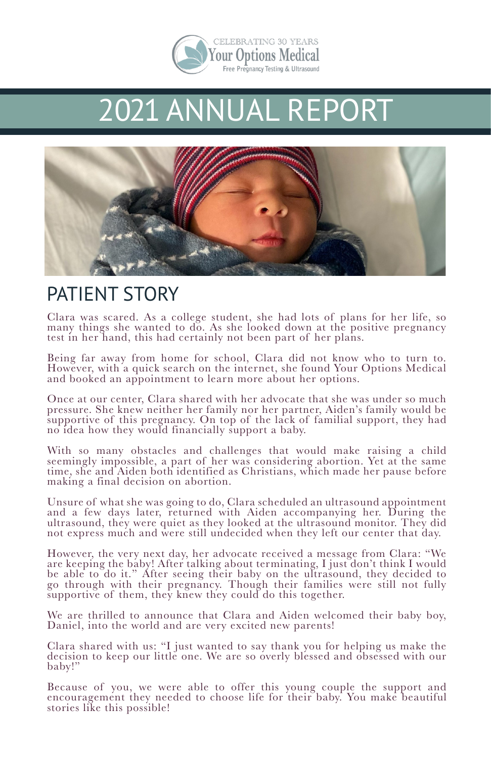

## 2021 ANNUAL REPORT



#### PATIENT STORY

Clara was scared. As a college student, she had lots of plans for her life, so many things she wanted to do. As she looked down at the positive pregnancy test in her hand, this had certainly not been part of her plans.

Being far away from home for school, Clara did not know who to turn to. However, with a quick search on the internet, she found Your Options Medical and booked an appointment to learn more about her options.

Once at our center, Clara shared with her advocate that she was under so much pressure. She knew neither her family nor her partner, Aiden's family would be supportive of this pregnancy. On top of the lack of familial support, they had no idea how they would financially support a baby.

With so many obstacles and challenges that would make raising a child seemingly impossible, a part of her was considering abortion. Yet at the same time, she and Aiden both identified as Christians, which made her pause before making a final decision on abortion.

Unsure of what she was going to do, Clara scheduled an ultrasound appointment and a few days later, returned with Aiden accompanying her. During the ultrasound, they were quiet as they looked at the ultrasound monitor. They did not express much and were still undecided when they left our center that day.

However, the very next day, her advocate received a message from Clara: "We are keeping the baby! After talking about terminating, I just don't think I would be able to do it." After seeing their baby on the ultrasound, they decided to go through with their pregnancy. Though their families were still not fully supportive of them, they knew they could do this together.

We are thrilled to announce that Clara and Aiden welcomed their baby boy, Daniel, into the world and are very excited new parents!

Clara shared with us: "I just wanted to say thank you for helping us make the decision to keep our little one. We are so overly blessed and obsessed with our baby!"

Because of you, we were able to offer this young couple the support and encouragement they needed to choose life for their baby. You make beautiful stories like this possible!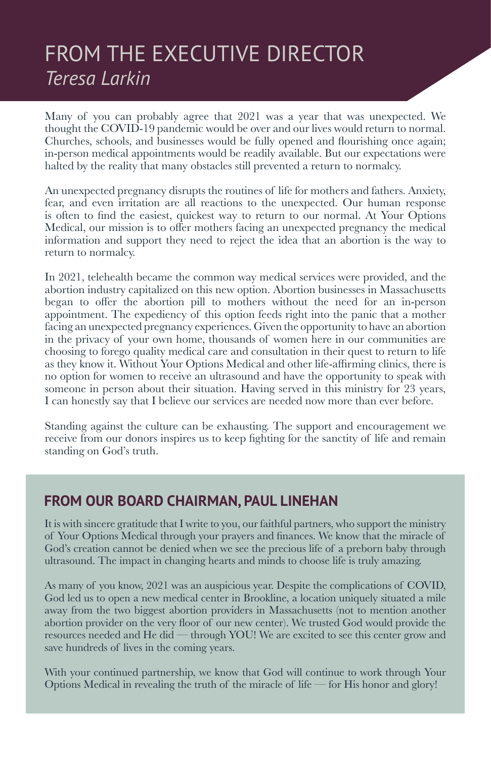### FROM THE EXECUTIVE DIRECTOR *Teresa Larkin*

Many of you can probably agree that 2021 was a year that was unexpected. We thought the COVID-19 pandemic would be over and our lives would return to normal. Churches, schools, and businesses would be fully opened and fourishing once again; in-person medical appointments would be readily available. But our expectations were halted by the reality that many obstacles still prevented a return to normalcy.

An unexpected pregnancy disrupts the routines of life for mothers and fathers. Anxiety, fear, and even irritation are all reactions to the unexpected. Our human response is often to fnd the easiest, quickest way to return to our normal. At Your Options Medical, our mission is to ofer mothers facing an unexpected pregnancy the medical information and support they need to reject the idea that an abortion is the way to return to normalcy.

In 2021, telehealth became the common way medical services were provided, and the abortion industry capitalized on this new option. Abortion businesses in Massachusetts began to ofer the abortion pill to mothers without the need for an in-person appointment. The expediency of this option feeds right into the panic that a mother facing an unexpected pregnancy experiences. Given the opportunity to have an abortion in the privacy of your own home, thousands of women here in our communities are choosing to forego quality medical care and consultation in their quest to return to life as they know it. Without Your Options Medical and other life-afrming clinics, there is no option for women to receive an ultrasound and have the opportunity to speak with someone in person about their situation. Having served in this ministry for 23 years, I can honestly say that I believe our services are needed now more than ever before.

Standing against the culture can be exhausting. The support and encouragement we receive from our donors inspires us to keep fghting for the sanctity of life and remain standing on God's truth.

#### **FROM OUR BOARD CHAIRMAN, PAUL LINEHAN**

It is with sincere gratitude that I write to you, our faithful partners, who support the ministry of Your Options Medical through your prayers and fnances. We know that the miracle of God's creation cannot be denied when we see the precious life of a preborn baby through ultrasound. The impact in changing hearts and minds to choose life is truly amazing.

As many of you know, 2021 was an auspicious year. Despite the complications of COVID, God led us to open a new medical center in Brookline, a location uniquely situated a mile away from the two biggest abortion providers in Massachusetts (not to mention another abortion provider on the very foor of our new center). We trusted God would provide the resources needed and He did — through YOU! We are excited to see this center grow and save hundreds of lives in the coming years.

With your continued partnership, we know that God will continue to work through Your Options Medical in revealing the truth of the miracle of life — for His honor and glory!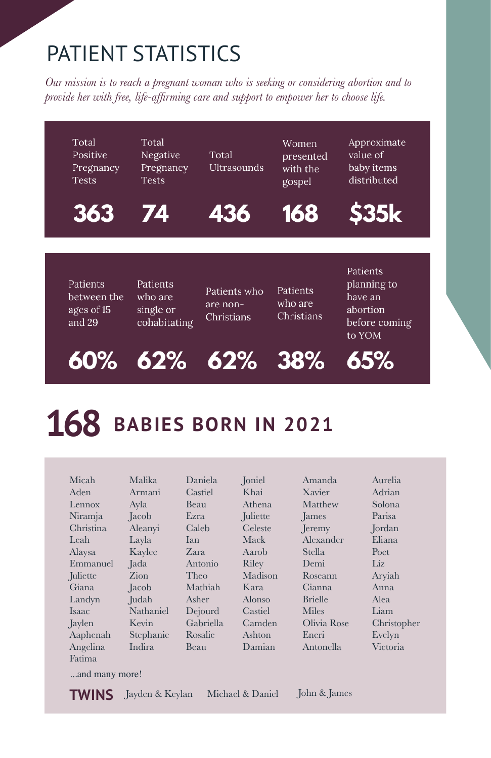### PATIENT STATISTICS

*Our mission is to reach a pregnant woman who is seeking or considering abortion and to provide her with free, life-afrming care and support to empower her to choose life.*



# **168** BABIES BORN IN 2021

| Micah          | Malika    | Daniela   | Joniel   | Amanda         | Aurelia     |
|----------------|-----------|-----------|----------|----------------|-------------|
| Aden           | Armani    | Castiel   | Khai     | Xavier         | Adrian      |
| Lennox         | Ayla      | Beau      | Athena   | Matthew        | Solona      |
| Niramja        | Jacob     | Ezra      | Juliette | James          | Parisa      |
| Christina      | Aleanyi   | Caleb     | Celeste  | <b>I</b> eremy | Jordan      |
| Leah           | Layla     | Ian       | Mack     | Alexander      | Eliana      |
| Alaysa         | Kaylee    | Zara      | Aarob    | Stella         | Poet        |
| Emmanuel       | Jada      | Antonio   | Riley    | Demi           | Liz         |
| Juliette       | Zion      | Theo      | Madison  | Roseann        | Aryiah      |
| Giana          | Jacob     | Mathiah   | Kara     | Cianna         | Anna        |
| Landyn         | Judah     | Asher     | Alonso   | <b>Brielle</b> | Alea        |
| Isaac          | Nathaniel | Dejourd   | Castiel  | Miles          | Liam        |
| Jaylen         | Kevin     | Gabriella | Camden   | Olivia Rose    | Christopher |
| Aaphenah       | Stephanie | Rosalie   | Ashton   | Eneri          | Evelyn      |
| Angelina       | Indira    | Beau      | Damian   | Antonella      | Victoria    |
| Fatima         |           |           |          |                |             |
| and many more! |           |           |          |                |             |

**TWINS** Jayden & Keylan

Michael & Daniel John & James